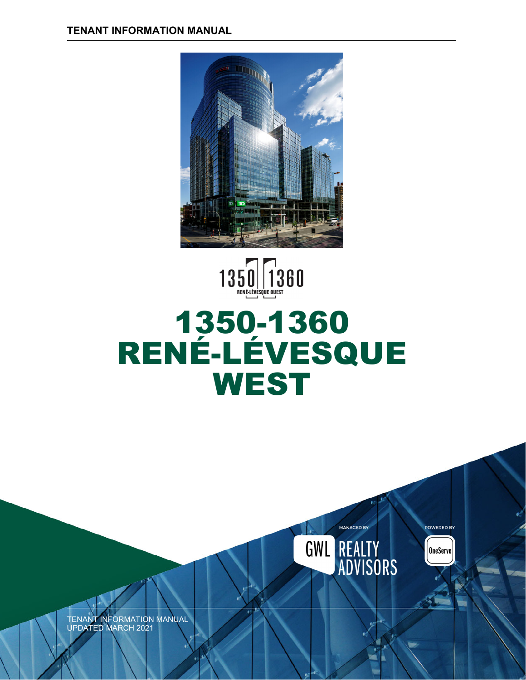

# $1350$   $\sqrt{1360}$ 1350-1360 RENÉ-LÉVESQUE **WEST**

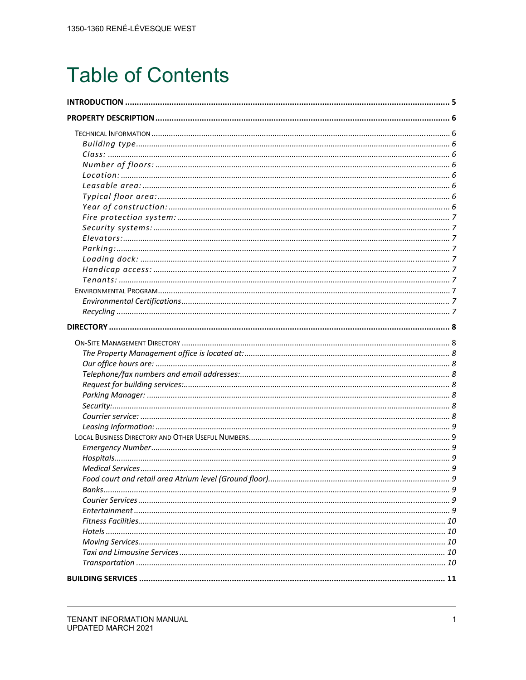## **Table of Contents**

| Food court and retail area Atrium level (Ground floor) | q |
|--------------------------------------------------------|---|
|                                                        |   |
|                                                        |   |
|                                                        |   |
|                                                        |   |
|                                                        |   |
|                                                        |   |
|                                                        |   |
|                                                        |   |
|                                                        |   |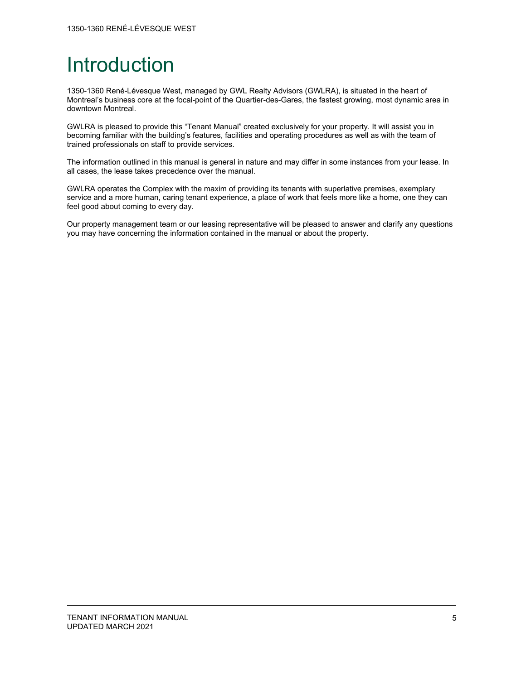## Introduction

1350-1360 René-Lévesque West, managed by GWL Realty Advisors (GWLRA), is situated in the heart of Montreal's business core at the focal-point of the Quartier-des-Gares, the fastest growing, most dynamic area in downtown Montreal.

GWLRA is pleased to provide this "Tenant Manual" created exclusively for your property. It will assist you in becoming familiar with the building's features, facilities and operating procedures as well as with the team of trained professionals on staff to provide services.

The information outlined in this manual is general in nature and may differ in some instances from your lease. In all cases, the lease takes precedence over the manual.

GWLRA operates the Complex with the maxim of providing its tenants with superlative premises, exemplary service and a more human, caring tenant experience, a place of work that feels more like a home, one they can feel good about coming to every day.

Our property management team or our leasing representative will be pleased to answer and clarify any questions you may have concerning the information contained in the manual or about the property.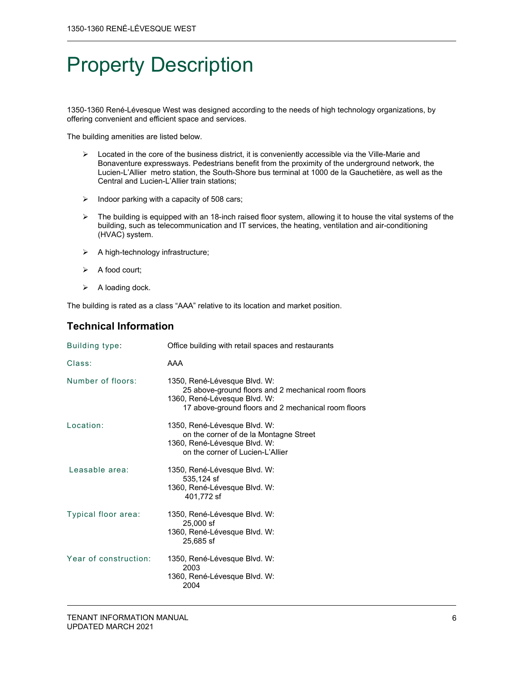## Property Description

1350-1360 René-Lévesque West was designed according to the needs of high technology organizations, by offering convenient and efficient space and services.

The building amenities are listed below.

- $\triangleright$  Located in the core of the business district, it is conveniently accessible via the Ville-Marie and Bonaventure expressways. Pedestrians benefit from the proximity of the underground network, the Lucien-L'Allier metro station, the South-Shore bus terminal at 1000 de la Gauchetière, as well as the Central and Lucien-L'Allier train stations;
- $\triangleright$  Indoor parking with a capacity of 508 cars;
- $\triangleright$  The building is equipped with an 18-inch raised floor system, allowing it to house the vital systems of the building, such as telecommunication and IT services, the heating, ventilation and air-conditioning (HVAC) system.
- $\triangleright$  A high-technology infrastructure;
- $\triangleright$  A food court;
- $\triangleright$  A loading dock.

The building is rated as a class "AAA" relative to its location and market position.

## **Technical Information**

| Building type:        | Office building with retail spaces and restaurants                                                                                                                         |
|-----------------------|----------------------------------------------------------------------------------------------------------------------------------------------------------------------------|
| Class:                | AAA                                                                                                                                                                        |
| Number of floors:     | 1350, René-Lévesque Blvd. W:<br>25 above-ground floors and 2 mechanical room floors<br>1360, René-Lévesque Blvd. W:<br>17 above-ground floors and 2 mechanical room floors |
| Location:             | 1350, René-Lévesque Blvd. W:<br>on the corner of de la Montagne Street<br>1360, René-Lévesque Blvd. W:<br>on the corner of Lucien-L'Allier                                 |
| Leasable area:        | 1350, René-Lévesque Blvd. W:<br>535,124 sf<br>1360, René-Lévesque Blvd. W:<br>401,772 sf                                                                                   |
| Typical floor area:   | 1350, René-Lévesque Blvd. W:<br>25,000 sf<br>1360, René-Lévesque Blvd. W:<br>25,685 sf                                                                                     |
| Year of construction: | 1350, René-Lévesque Blvd. W:<br>2003<br>1360, René-Lévesque Blvd. W:<br>2004                                                                                               |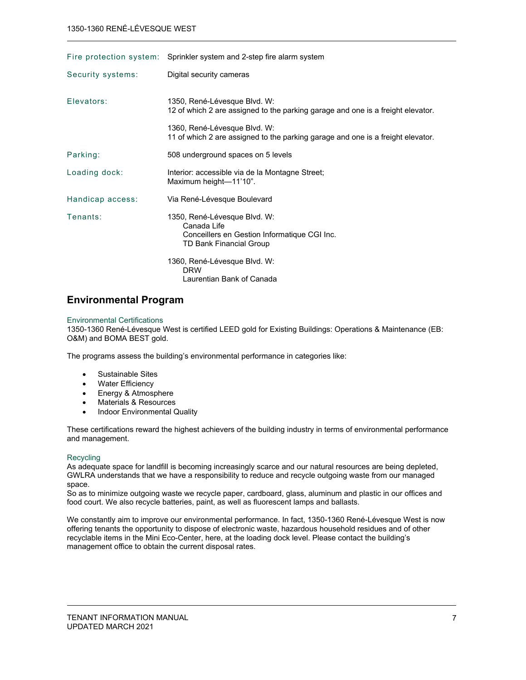|                   | Fire protection system: Sprinkler system and 2-step fire alarm system                                                  |
|-------------------|------------------------------------------------------------------------------------------------------------------------|
| Security systems: | Digital security cameras                                                                                               |
| Flevators:        | 1350, René-Lévesque Blvd. W:<br>12 of which 2 are assigned to the parking garage and one is a freight elevator.        |
|                   | 1360, René-Lévesque Blvd. W:<br>11 of which 2 are assigned to the parking garage and one is a freight elevator.        |
| Parking:          | 508 underground spaces on 5 levels                                                                                     |
| Loading dock:     | Interior: accessible via de la Montagne Street;<br>Maximum height-11'10".                                              |
| Handicap access:  | Via René-Lévesque Boulevard                                                                                            |
| Tenants:          | 1350, René-Lévesque Blvd. W:<br>Canada Life<br>Conceillers en Gestion Informatique CGI Inc.<br>TD Bank Financial Group |
|                   | 1360, René-Lévesque Blvd. W:<br><b>DRW</b><br>Laurentian Bank of Canada                                                |

## **Environmental Program**

#### Environmental Certifications

1350-1360 René-Lévesque West is certified LEED gold for Existing Buildings: Operations & Maintenance (EB: O&M) and BOMA BEST gold.

The programs assess the building's environmental performance in categories like:

- Sustainable Sites
- Water Efficiency
- Energy & Atmosphere
- Materials & Resources
- Indoor Environmental Quality

These certifications reward the highest achievers of the building industry in terms of environmental performance and management.

#### **Recycling**

As adequate space for landfill is becoming increasingly scarce and our natural resources are being depleted, GWLRA understands that we have a responsibility to reduce and recycle outgoing waste from our managed space.

So as to minimize outgoing waste we recycle paper, cardboard, glass, aluminum and plastic in our offices and food court. We also recycle batteries, paint, as well as fluorescent lamps and ballasts.

We constantly aim to improve our environmental performance. In fact, 1350-1360 René-Lévesque West is now offering tenants the opportunity to dispose of electronic waste, hazardous household residues and of other recyclable items in the Mini Eco-Center, here, at the loading dock level. Please contact the building's management office to obtain the current disposal rates.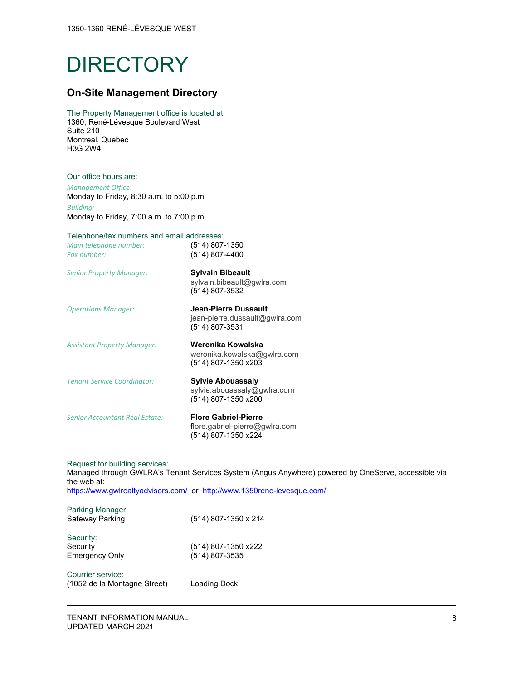## **DIRECTORY**

## **On-Site Management Directory**

The Property Management office is located at: 1360, René-Lévesque Boulevard West Suite 210 Montreal, Quebec H3G 2W4

#### Our office hours are:

*Management Office*: Monday to Friday, 8:30 a.m. to 5:00 p.m. *Building:*

Monday to Friday, 7:00 a.m. to 7:00 p.m.

## Telephone/fax numbers and email addresses:

| Telephone/fax numbers and email addresses:<br>Main telephone number:<br>Fax number: | (514) 807-1350<br>(514) 807-4400                                               |
|-------------------------------------------------------------------------------------|--------------------------------------------------------------------------------|
| <b>Senior Property Manager:</b>                                                     | <b>Sylvain Bibeault</b><br>sylvain.bibeault@gwlra.com<br>(514) 807-3532        |
| <b>Operations Manager:</b>                                                          | Jean-Pierre Dussault<br>jean-pierre.dussault@gwlra.com<br>(514) 807-3531       |
| <b>Assistant Property Manager:</b>                                                  | Weronika Kowalska<br>weronika.kowalska@gwlra.com<br>(514) 807-1350 x203        |
| <b>Tenant Service Coordinator:</b>                                                  | <b>Sylvie Abouassaly</b><br>sylvie.abouassaly@gwlra.com<br>(514) 807-1350 x200 |
| <b>Senior Accountant Real Estate:</b>                                               | <b>Flore Gabriel-Pierre</b><br>flore.gabriel-pierre@gwlra.com                  |

(514) 807-1350 x224

Request for building services: Managed through GWLRA's Tenant Services System (Angus Anywhere) powered by OneServe, accessible via the web at: https://www.gwlrealtyadvisors.com/ or http://www.1350rene-levesque.com/

Parking Manager:<br>Safeway Parking (514) 807-1350 x 214 Security: Security (514) 807-1350 x222 Emergency Only (514) 807-3535

Courrier service: (1052 de la Montagne Street) Loading Dock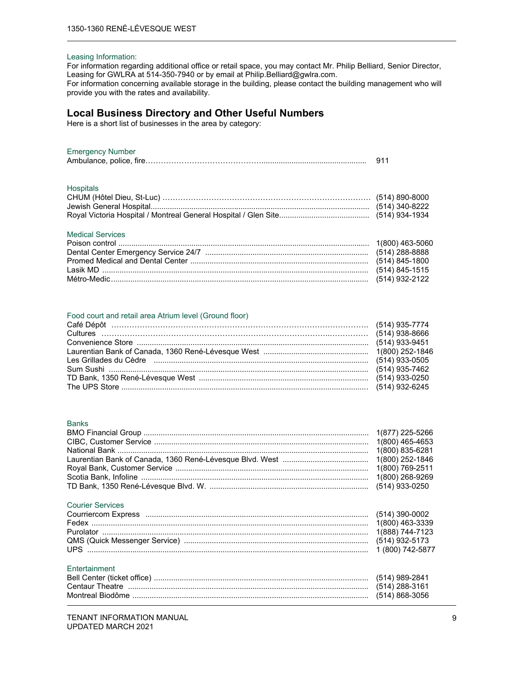#### Leasing Information:

For information regarding additional office or retail space, you may contact Mr. Philip Belliard, Senior Director, Leasing for GWLRA at 514-350-7940 or by email at Philip.Belliard@gwlra.com. For information concerning available storage in the building, please contact the building management who will provide you with the rates and availability.

### **Local Business Directory and Other Useful Numbers**

Here is a short list of businesses in the area by category:

#### Emergency Number

| $=$ |  |
|-----|--|
|     |  |

#### Hospitals

#### Medical Services

#### Food court and retail area Atrium level (Ground floor)

| Les Grillades du Cèdre (and anticommunication and the control of the 1933-0505) |  |
|---------------------------------------------------------------------------------|--|
|                                                                                 |  |
|                                                                                 |  |
|                                                                                 |  |

#### Banks

#### Courier Services

| Entertainment |  |
|---------------|--|

|                 | (514) 989-2841 |
|-----------------|----------------|
| Centaur Theatre | (514) 288-3161 |
|                 | (514) 868-3056 |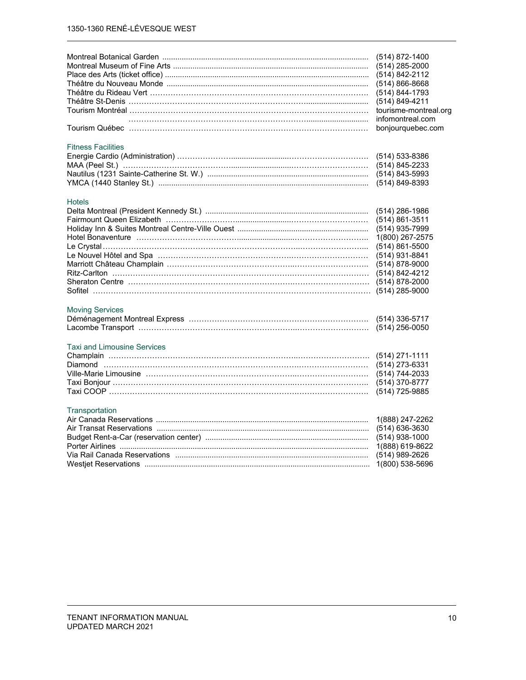| Théâtre du Nouveau Monde …………………………………………………………………………………………<br>Théâtre St-Denis ……………………………………………………………………………………… | (514) 872-1400<br>(514) 285-2000<br>(514) 842-2112<br>$(514) 866 - 8668$<br>(514) 844-1793<br>(514) 849-4211<br>tourisme-montreal.org<br>infomontreal.com<br>bonjourquebec.com                        |
|-------------------------------------------------------------------------------------------------------------------|-------------------------------------------------------------------------------------------------------------------------------------------------------------------------------------------------------|
| <b>Fitness Facilities</b>                                                                                         | (514) 533-8386<br>(514) 845-2233<br>$(514) 843 - 5993$<br>(514) 849-8393                                                                                                                              |
| <b>Hotels</b><br><u>Ritz-Carlton …………………………………………………………………………………………</u>                                           | $(514)$ 286-1986<br>$(514) 861 - 3511$<br>(514) 935-7999<br>1(800) 267-2575<br>$(514) 861 - 5500$<br>(514) 931-8841<br>$(514) 878 - 9000$<br>(514) 842-4212<br>$(514) 878 - 2000$<br>$(514)$ 285-9000 |
| <b>Moving Services</b>                                                                                            | (514) 336-5717<br>$(514)$ 256-0050                                                                                                                                                                    |
| <b>Taxi and Limousine Services</b><br><u>Ville-Marie Limousine ………………………………………………………………………………</u>                 | $(514)$ 271-1111<br>(514) 273-6331<br>(514) 744-2033<br>$(514)$ 370-8777<br>(514) 725-9885                                                                                                            |
| Transportation<br>Air Transat Reservations ………………………………………………………………………………………                                      | 1(888) 247-2262<br>(514) 636-3630<br>$(514)$ 938-1000<br>1(888) 619-8622<br>(514) 989-2626<br>1(800) 538-5696                                                                                         |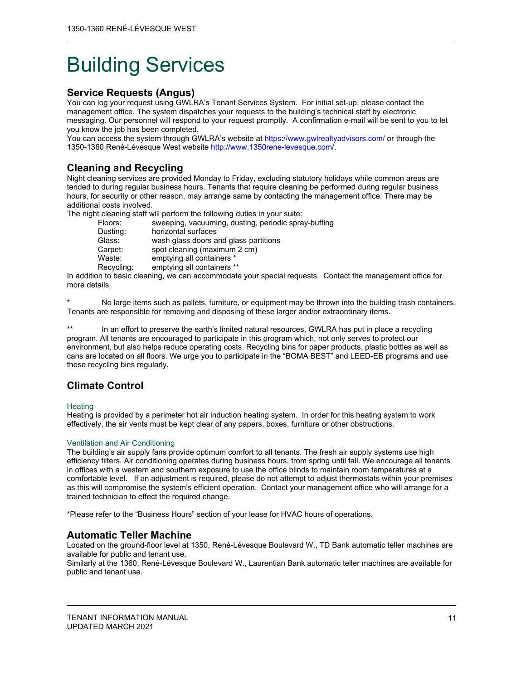## Building Services

## **Service Requests (Angus)**

You can log your request using GWLRA's Tenant Services System. For initial set-up, please contact the management office. The system dispatches your requests to the building's technical staff by electronic messaging. Our personnel will respond to your request promptly. A confirmation e-mail will be sent to you to let you know the job has been completed.

You can access the system through GWLRA's website at https://www.gwlrealtyadvisors.com/ or through the 1350-1360 René-Lévesque West website http://www.1350rene-levesque.com/.

## **Cleaning and Recycling**

Night cleaning services are provided Monday to Friday, excluding statutory holidays while common areas are tended to during regular business hours. Tenants that require cleaning be performed during regular business hours, for security or other reason, may arrange same by contacting the management office. There may be additional costs involved.

The night cleaning staff will perform the following duties in your suite:

| Floors:    | sweeping, vacuuming, dusting, periodic spray-buffing |
|------------|------------------------------------------------------|
| Dusting:   | horizontal surfaces                                  |
| Glass:     | wash glass doors and glass partitions                |
| Carpet:    | spot cleaning (maximum 2 cm)                         |
| Waste:     | emptying all containers *                            |
| Recycling: | emptying all containers **                           |
|            |                                                      |

In addition to basic cleaning, we can accommodate your special requests. Contact the management office for more details.

No large items such as pallets, furniture, or equipment may be thrown into the building trash containers. Tenants are responsible for removing and disposing of these larger and/or extraordinary items.

\*\* In an effort to preserve the earth's limited natural resources, GWLRA has put in place a recycling program. All tenants are encouraged to participate in this program which, not only serves to protect our environment, but also helps reduce operating costs. Recycling bins for paper products, plastic bottles as well as cans are located on all floors. We urge you to participate in the "BOMA BEST" and LEED-EB programs and use these recycling bins regularly.

## **Climate Control**

#### **Heating**

Heating is provided by a perimeter hot air induction heating system. In order for this heating system to work effectively, the air vents must be kept clear of any papers, boxes, furniture or other obstructions.

#### Ventilation and Air Conditioning

The building's air supply fans provide optimum comfort to all tenants. The fresh air supply systems use high efficiency filters. Air conditioning operates during business hours, from spring until fall. We encourage all tenants in offices with a western and southern exposure to use the office blinds to maintain room temperatures at a comfortable level. If an adjustment is required, please do not attempt to adjust thermostats within your premises as this will compromise the system's efficient operation. Contact your management office who will arrange for a trained technician to effect the required change.

\*Please refer to the "Business Hours" section of your lease for HVAC hours of operations.

## **Automatic Teller Machine**

Located on the ground-floor level at 1350, René-Lévesque Boulevard W., TD Bank automatic teller machines are available for public and tenant use.

Similarly at the 1360, René-Lévesque Boulevard W., Laurentian Bank automatic teller machines are available for public and tenant use.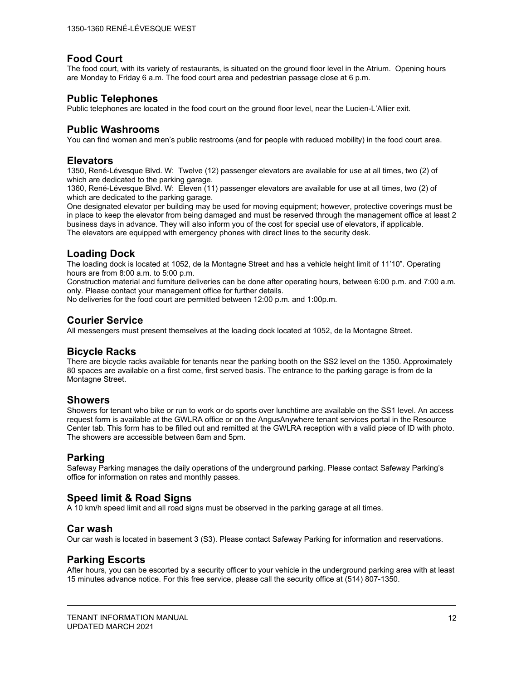## **Food Court**

The food court, with its variety of restaurants, is situated on the ground floor level in the Atrium. Opening hours are Monday to Friday 6 a.m. The food court area and pedestrian passage close at 6 p.m.

## **Public Telephones**

Public telephones are located in the food court on the ground floor level, near the Lucien-L'Allier exit.

## **Public Washrooms**

You can find women and men's public restrooms (and for people with reduced mobility) in the food court area.

## **Elevators**

1350, René-Lévesque Blvd. W: Twelve (12) passenger elevators are available for use at all times, two (2) of which are dedicated to the parking garage.

1360, René-Lévesque Blvd. W: Eleven (11) passenger elevators are available for use at all times, two (2) of which are dedicated to the parking garage.

One designated elevator per building may be used for moving equipment; however, protective coverings must be in place to keep the elevator from being damaged and must be reserved through the management office at least 2 business days in advance. They will also inform you of the cost for special use of elevators, if applicable. The elevators are equipped with emergency phones with direct lines to the security desk.

## **Loading Dock**

The loading dock is located at 1052, de la Montagne Street and has a vehicle height limit of 11'10". Operating hours are from 8:00 a.m. to 5:00 p.m.

Construction material and furniture deliveries can be done after operating hours, between 6:00 p.m. and 7:00 a.m. only. Please contact your management office for further details.

No deliveries for the food court are permitted between 12:00 p.m. and 1:00p.m.

## **Courier Service**

All messengers must present themselves at the loading dock located at 1052, de la Montagne Street.

## **Bicycle Racks**

There are bicycle racks available for tenants near the parking booth on the SS2 level on the 1350. Approximately 80 spaces are available on a first come, first served basis. The entrance to the parking garage is from de la Montagne Street.

## **Showers**

Showers for tenant who bike or run to work or do sports over lunchtime are available on the SS1 level. An access request form is available at the GWLRA office or on the AngusAnywhere tenant services portal in the Resource Center tab. This form has to be filled out and remitted at the GWLRA reception with a valid piece of ID with photo. The showers are accessible between 6am and 5pm.

## **Parking**

Safeway Parking manages the daily operations of the underground parking. Please contact Safeway Parking's office for information on rates and monthly passes.

## **Speed limit & Road Signs**

A 10 km/h speed limit and all road signs must be observed in the parking garage at all times.

## **Car wash**

Our car wash is located in basement 3 (S3). Please contact Safeway Parking for information and reservations.

## **Parking Escorts**

After hours, you can be escorted by a security officer to your vehicle in the underground parking area with at least 15 minutes advance notice. For this free service, please call the security office at (514) 807-1350.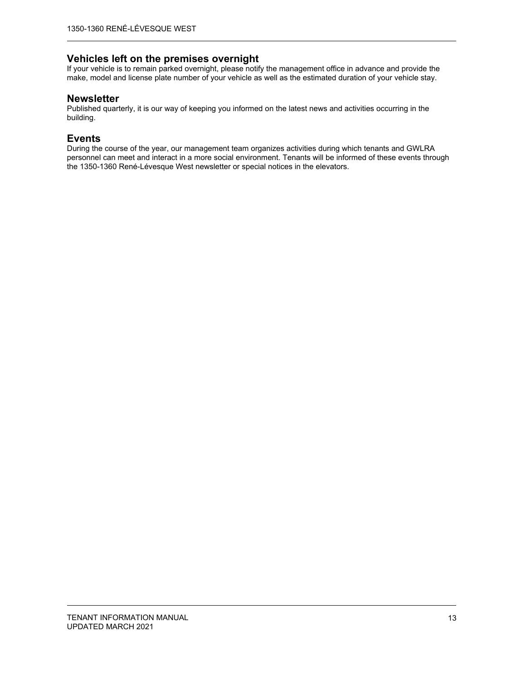## **Vehicles left on the premises overnight**

If your vehicle is to remain parked overnight, please notify the management office in advance and provide the make, model and license plate number of your vehicle as well as the estimated duration of your vehicle stay.

### **Newsletter**

Published quarterly, it is our way of keeping you informed on the latest news and activities occurring in the building.

## **Events**

During the course of the year, our management team organizes activities during which tenants and GWLRA personnel can meet and interact in a more social environment. Tenants will be informed of these events through the 1350-1360 René-Lévesque West newsletter or special notices in the elevators.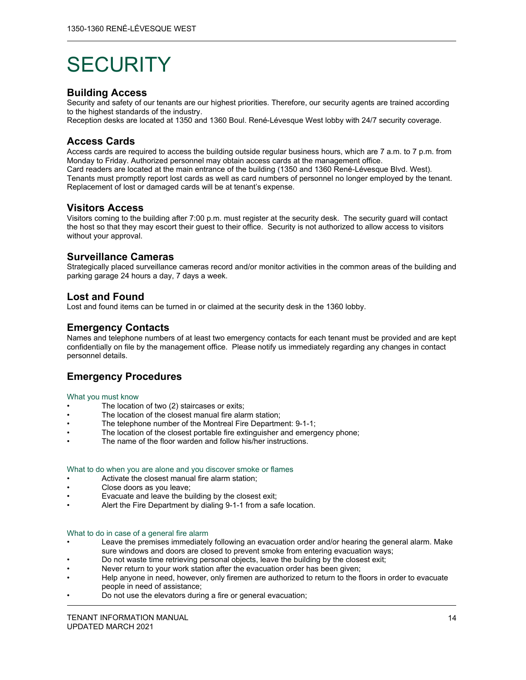## **SECURITY**

## **Building Access**

Security and safety of our tenants are our highest priorities. Therefore, our security agents are trained according to the highest standards of the industry.

Reception desks are located at 1350 and 1360 Boul. René-Lévesque West lobby with 24/7 security coverage.

## **Access Cards**

Access cards are required to access the building outside regular business hours, which are 7 a.m. to 7 p.m. from Monday to Friday. Authorized personnel may obtain access cards at the management office.

Card readers are located at the main entrance of the building (1350 and 1360 René-Lévesque Blvd. West). Tenants must promptly report lost cards as well as card numbers of personnel no longer employed by the tenant. Replacement of lost or damaged cards will be at tenant's expense.

## **Visitors Access**

Visitors coming to the building after 7:00 p.m. must register at the security desk. The security guard will contact the host so that they may escort their guest to their office. Security is not authorized to allow access to visitors without your approval.

## **Surveillance Cameras**

Strategically placed surveillance cameras record and/or monitor activities in the common areas of the building and parking garage 24 hours a day, 7 days a week.

## **Lost and Found**

Lost and found items can be turned in or claimed at the security desk in the 1360 lobby.

## **Emergency Contacts**

Names and telephone numbers of at least two emergency contacts for each tenant must be provided and are kept confidentially on file by the management office. Please notify us immediately regarding any changes in contact personnel details.

## **Emergency Procedures**

#### What you must know

- The location of two (2) staircases or exits;
- The location of the closest manual fire alarm station;
- The telephone number of the Montreal Fire Department: 9-1-1;
- The location of the closest portable fire extinguisher and emergency phone;
- The name of the floor warden and follow his/her instructions.

#### What to do when you are alone and you discover smoke or flames

- Activate the closest manual fire alarm station;
- Close doors as you leave;
- Evacuate and leave the building by the closest exit;
- Alert the Fire Department by dialing 9-1-1 from a safe location.

#### What to do in case of a general fire alarm

- Leave the premises immediately following an evacuation order and/or hearing the general alarm. Make sure windows and doors are closed to prevent smoke from entering evacuation ways;
- Do not waste time retrieving personal objects, leave the building by the closest exit;
- Never return to your work station after the evacuation order has been given;
- Help anyone in need, however, only firemen are authorized to return to the floors in order to evacuate people in need of assistance;
- Do not use the elevators during a fire or general evacuation;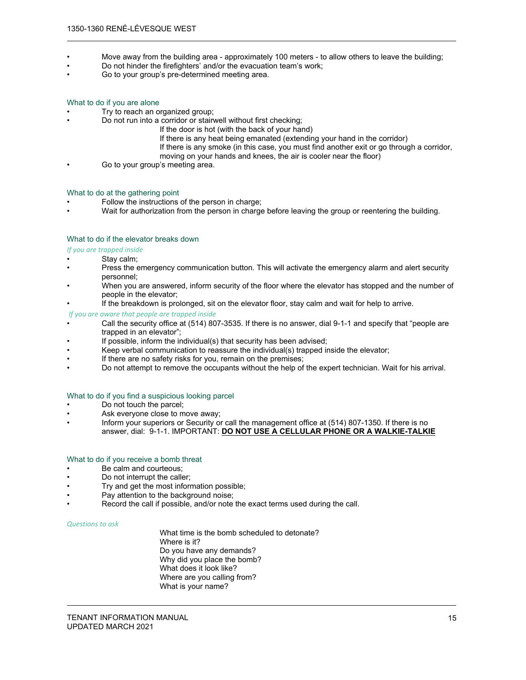- Move away from the building area approximately 100 meters to allow others to leave the building;
- Do not hinder the firefighters' and/or the evacuation team's work;
- Go to your group's pre-determined meeting area.

#### What to do if you are alone

- Try to reach an organized group;
	- Do not run into a corridor or stairwell without first checking;
		- If the door is hot (with the back of your hand)
			- If there is any heat being emanated (extending your hand in the corridor)
			- If there is any smoke (in this case, you must find another exit or go through a corridor,
			- moving on your hands and knees, the air is cooler near the floor)
- Go to your group's meeting area.

#### What to do at the gathering point

- Follow the instructions of the person in charge;
- Wait for authorization from the person in charge before leaving the group or reentering the building.

#### What to do if the elevator breaks down

#### *If you are trapped inside*

- Stay calm;
- Press the emergency communication button. This will activate the emergency alarm and alert security personnel;
- When you are answered, inform security of the floor where the elevator has stopped and the number of people in the elevator;
- If the breakdown is prolonged, sit on the elevator floor, stay calm and wait for help to arrive.

#### *If you are aware that people are trapped inside*

- Call the security office at (514) 807-3535. If there is no answer, dial 9-1-1 and specify that "people are trapped in an elevator";
- If possible, inform the individual(s) that security has been advised;
- Keep verbal communication to reassure the individual(s) trapped inside the elevator;
- If there are no safety risks for you, remain on the premises;
- Do not attempt to remove the occupants without the help of the expert technician. Wait for his arrival.

#### What to do if you find a suspicious looking parcel

- Do not touch the parcel;
- Ask everyone close to move away;
- Inform your superiors or Security or call the management office at (514) 807-1350. If there is no answer, dial: 9-1-1. IMPORTANT: **DO NOT USE A CELLULAR PHONE OR A WALKIE-TALKIE**

#### What to do if you receive a bomb threat

- Be calm and courteous;
- Do not interrupt the caller;
- Try and get the most information possible;
- Pay attention to the background noise;
- Record the call if possible, and/or note the exact terms used during the call.

#### *Questions to ask*

 What time is the bomb scheduled to detonate? Where is it? Do you have any demands? Why did you place the bomb? What does it look like? Where are you calling from? What is your name?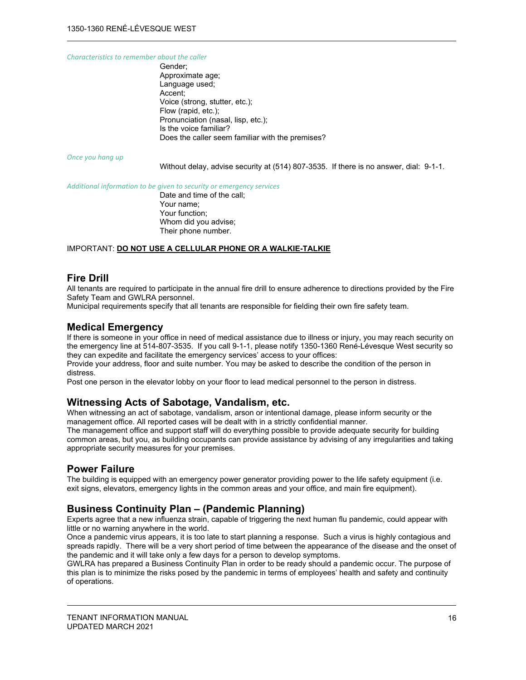*Characteristics to remember about the caller*

 Gender; Approximate age; Language used; Accent; Voice (strong, stutter, etc.); Flow (rapid, etc.); Pronunciation (nasal, lisp, etc.); Is the voice familiar? Does the caller seem familiar with the premises?

*Once you hang up*

Without delay, advise security at (514) 807-3535. If there is no answer, dial: 9-1-1.

*Additional information to be given to security or emergency services*

 Date and time of the call; Your name; Your function; Whom did you advise; Their phone number.

#### IMPORTANT: **DO NOT USE A CELLULAR PHONE OR A WALKIE-TALKIE**

## **Fire Drill**

All tenants are required to participate in the annual fire drill to ensure adherence to directions provided by the Fire Safety Team and GWLRA personnel.

Municipal requirements specify that all tenants are responsible for fielding their own fire safety team.

#### **Medical Emergency**

If there is someone in your office in need of medical assistance due to illness or injury, you may reach security on the emergency line at 514-807-3535. If you call 9-1-1, please notify 1350-1360 René-Lévesque West security so they can expedite and facilitate the emergency services' access to your offices:

Provide your address, floor and suite number. You may be asked to describe the condition of the person in distress.

Post one person in the elevator lobby on your floor to lead medical personnel to the person in distress.

## **Witnessing Acts of Sabotage, Vandalism, etc.**

When witnessing an act of sabotage, vandalism, arson or intentional damage, please inform security or the management office. All reported cases will be dealt with in a strictly confidential manner.

The management office and support staff will do everything possible to provide adequate security for building common areas, but you, as building occupants can provide assistance by advising of any irregularities and taking appropriate security measures for your premises.

## **Power Failure**

The building is equipped with an emergency power generator providing power to the life safety equipment (i.e. exit signs, elevators, emergency lights in the common areas and your office, and main fire equipment).

## **Business Continuity Plan – (Pandemic Planning)**

Experts agree that a new influenza strain, capable of triggering the next human flu pandemic, could appear with little or no warning anywhere in the world.

Once a pandemic virus appears, it is too late to start planning a response. Such a virus is highly contagious and spreads rapidly. There will be a very short period of time between the appearance of the disease and the onset of the pandemic and it will take only a few days for a person to develop symptoms.

GWLRA has prepared a Business Continuity Plan in order to be ready should a pandemic occur. The purpose of this plan is to minimize the risks posed by the pandemic in terms of employees' health and safety and continuity of operations.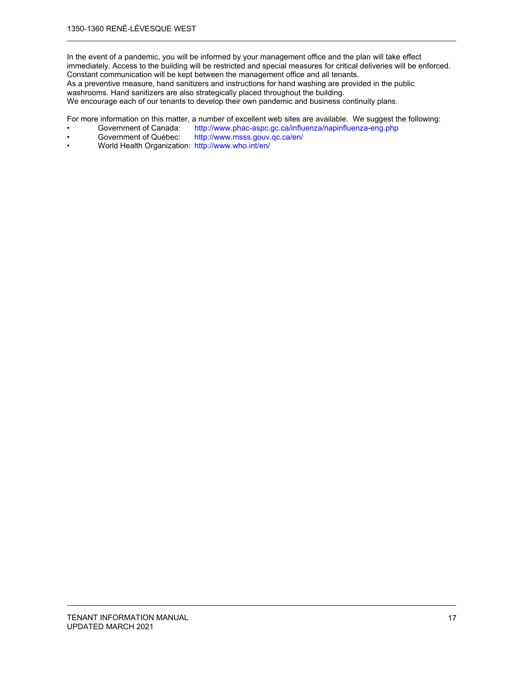In the event of a pandemic, you will be informed by your management office and the plan will take effect immediately. Access to the building will be restricted and special measures for critical deliveries will be enforced. Constant communication will be kept between the management office and all tenants. As a preventive measure, hand sanitizers and instructions for hand washing are provided in the public washrooms. Hand sanitizers are also strategically placed throughout the building.

We encourage each of our tenants to develop their own pandemic and business continuity plans.

For more information on this matter, a number of excellent web sites are available. We suggest the following:<br>• Government of Canada: http://www.phac-aspc.gc.ca/influenza/napinfluenza-eng.php

- Government of Canada: http://www.phac-aspc.gc.ca/influenza/napinfluenza-eng.php<br>Government of Québec: http://www.msss.gouv.gc.ca/en/
- http://www.msss.gouv.qc.ca/en/
- World Health Organization: http://www.who.int/en/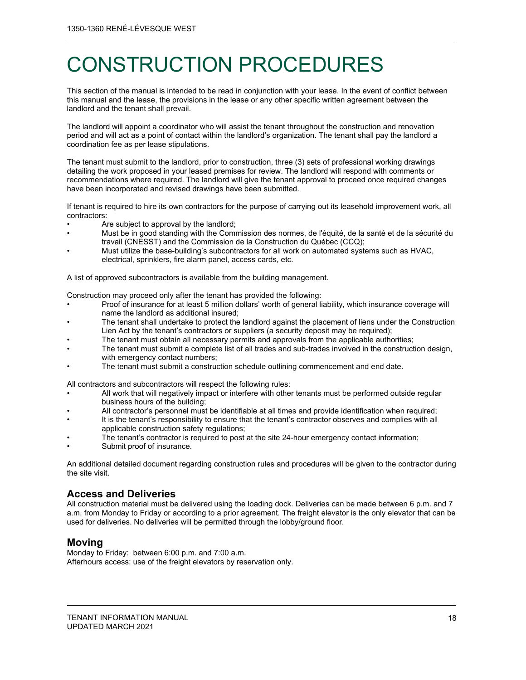## CONSTRUCTION PROCEDURES

This section of the manual is intended to be read in conjunction with your lease. In the event of conflict between this manual and the lease, the provisions in the lease or any other specific written agreement between the landlord and the tenant shall prevail.

The landlord will appoint a coordinator who will assist the tenant throughout the construction and renovation period and will act as a point of contact within the landlord's organization. The tenant shall pay the landlord a coordination fee as per lease stipulations.

The tenant must submit to the landlord, prior to construction, three (3) sets of professional working drawings detailing the work proposed in your leased premises for review. The landlord will respond with comments or recommendations where required. The landlord will give the tenant approval to proceed once required changes have been incorporated and revised drawings have been submitted.

If tenant is required to hire its own contractors for the purpose of carrying out its leasehold improvement work, all contractors:

- Are subject to approval by the landlord;
- Must be in good standing with the Commission des normes, de l'équité, de la santé et de la sécurité du travail (CNESST) and the Commission de la Construction du Québec (CCQ);
- Must utilize the base-building's subcontractors for all work on automated systems such as HVAC, electrical, sprinklers, fire alarm panel, access cards, etc.

A list of approved subcontractors is available from the building management.

Construction may proceed only after the tenant has provided the following:

- Proof of insurance for at least 5 million dollars' worth of general liability, which insurance coverage will name the landlord as additional insured;
- The tenant shall undertake to protect the landlord against the placement of liens under the Construction Lien Act by the tenant's contractors or suppliers (a security deposit may be required);
- The tenant must obtain all necessary permits and approvals from the applicable authorities;
- The tenant must submit a complete list of all trades and sub-trades involved in the construction design, with emergency contact numbers;
- The tenant must submit a construction schedule outlining commencement and end date.

All contractors and subcontractors will respect the following rules:

- All work that will negatively impact or interfere with other tenants must be performed outside regular business hours of the building;
- All contractor's personnel must be identifiable at all times and provide identification when required;
- It is the tenant's responsibility to ensure that the tenant's contractor observes and complies with all applicable construction safety regulations;
- The tenant's contractor is required to post at the site 24-hour emergency contact information;
- Submit proof of insurance.

An additional detailed document regarding construction rules and procedures will be given to the contractor during the site visit.

## **Access and Deliveries**

All construction material must be delivered using the loading dock. Deliveries can be made between 6 p.m. and 7 a.m. from Monday to Friday or according to a prior agreement. The freight elevator is the only elevator that can be used for deliveries. No deliveries will be permitted through the lobby/ground floor.

## **Moving**

Monday to Friday: between 6:00 p.m. and 7:00 a.m. Afterhours access: use of the freight elevators by reservation only.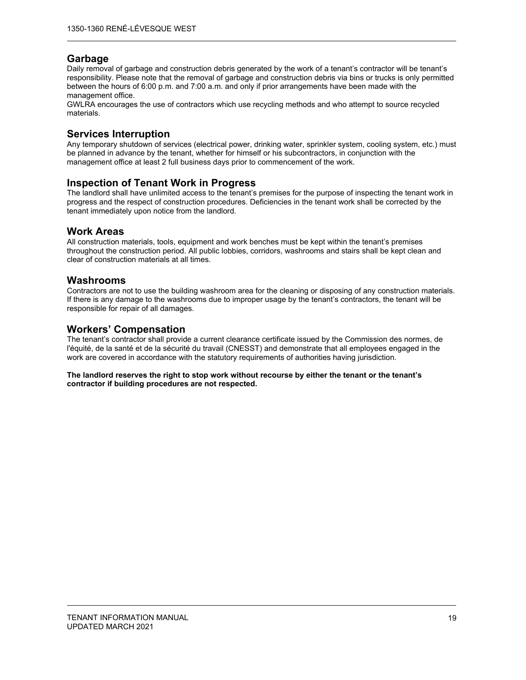## **Garbage**

Daily removal of garbage and construction debris generated by the work of a tenant's contractor will be tenant's responsibility. Please note that the removal of garbage and construction debris via bins or trucks is only permitted between the hours of 6:00 p.m. and 7:00 a.m. and only if prior arrangements have been made with the management office.

GWLRA encourages the use of contractors which use recycling methods and who attempt to source recycled materials.

## **Services Interruption**

Any temporary shutdown of services (electrical power, drinking water, sprinkler system, cooling system, etc.) must be planned in advance by the tenant, whether for himself or his subcontractors, in conjunction with the management office at least 2 full business days prior to commencement of the work.

## **Inspection of Tenant Work in Progress**

The landlord shall have unlimited access to the tenant's premises for the purpose of inspecting the tenant work in progress and the respect of construction procedures. Deficiencies in the tenant work shall be corrected by the tenant immediately upon notice from the landlord.

## **Work Areas**

All construction materials, tools, equipment and work benches must be kept within the tenant's premises throughout the construction period. All public lobbies, corridors, washrooms and stairs shall be kept clean and clear of construction materials at all times.

## **Washrooms**

Contractors are not to use the building washroom area for the cleaning or disposing of any construction materials. If there is any damage to the washrooms due to improper usage by the tenant's contractors, the tenant will be responsible for repair of all damages.

## **Workers' Compensation**

The tenant's contractor shall provide a current clearance certificate issued by the Commission des normes, de l'équité, de la santé et de la sécurité du travail (CNESST) and demonstrate that all employees engaged in the work are covered in accordance with the statutory requirements of authorities having jurisdiction.

#### **The landlord reserves the right to stop work without recourse by either the tenant or the tenant's contractor if building procedures are not respected.**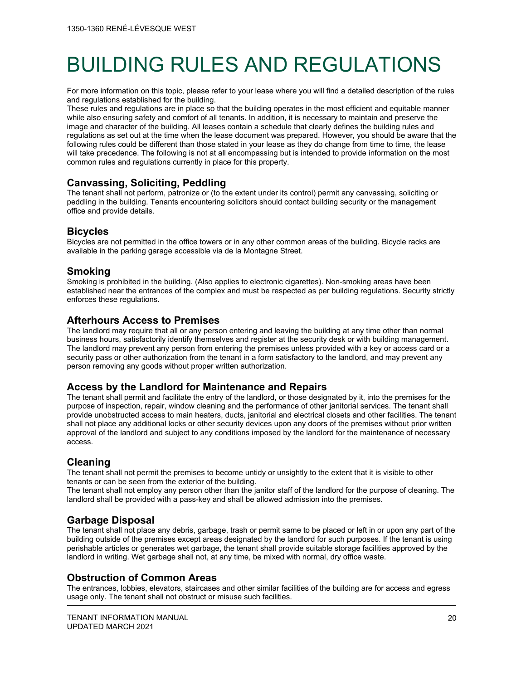## BUILDING RULES AND REGULATIONS

For more information on this topic, please refer to your lease where you will find a detailed description of the rules and regulations established for the building.

These rules and regulations are in place so that the building operates in the most efficient and equitable manner while also ensuring safety and comfort of all tenants. In addition, it is necessary to maintain and preserve the image and character of the building. All leases contain a schedule that clearly defines the building rules and regulations as set out at the time when the lease document was prepared. However, you should be aware that the following rules could be different than those stated in your lease as they do change from time to time, the lease will take precedence. The following is not at all encompassing but is intended to provide information on the most common rules and regulations currently in place for this property.

## **Canvassing, Soliciting, Peddling**

The tenant shall not perform, patronize or (to the extent under its control) permit any canvassing, soliciting or peddling in the building. Tenants encountering solicitors should contact building security or the management office and provide details.

## **Bicycles**

Bicycles are not permitted in the office towers or in any other common areas of the building. Bicycle racks are available in the parking garage accessible via de la Montagne Street.

## **Smoking**

Smoking is prohibited in the building. (Also applies to electronic cigarettes). Non-smoking areas have been established near the entrances of the complex and must be respected as per building regulations. Security strictly enforces these regulations.

## **Afterhours Access to Premises**

The landlord may require that all or any person entering and leaving the building at any time other than normal business hours, satisfactorily identify themselves and register at the security desk or with building management. The landlord may prevent any person from entering the premises unless provided with a key or access card or a security pass or other authorization from the tenant in a form satisfactory to the landlord, and may prevent any person removing any goods without proper written authorization.

## **Access by the Landlord for Maintenance and Repairs**

The tenant shall permit and facilitate the entry of the landlord, or those designated by it, into the premises for the purpose of inspection, repair, window cleaning and the performance of other janitorial services. The tenant shall provide unobstructed access to main heaters, ducts, janitorial and electrical closets and other facilities. The tenant shall not place any additional locks or other security devices upon any doors of the premises without prior written approval of the landlord and subject to any conditions imposed by the landlord for the maintenance of necessary access.

## **Cleaning**

The tenant shall not permit the premises to become untidy or unsightly to the extent that it is visible to other tenants or can be seen from the exterior of the building.

The tenant shall not employ any person other than the janitor staff of the landlord for the purpose of cleaning. The landlord shall be provided with a pass-key and shall be allowed admission into the premises.

## **Garbage Disposal**

The tenant shall not place any debris, garbage, trash or permit same to be placed or left in or upon any part of the building outside of the premises except areas designated by the landlord for such purposes. If the tenant is using perishable articles or generates wet garbage, the tenant shall provide suitable storage facilities approved by the landlord in writing. Wet garbage shall not, at any time, be mixed with normal, dry office waste.

## **Obstruction of Common Areas**

The entrances, lobbies, elevators, staircases and other similar facilities of the building are for access and egress usage only. The tenant shall not obstruct or misuse such facilities.